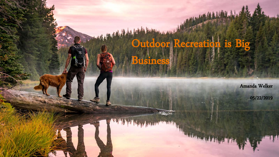# Outdoor Recreation is Big



Amanda Welker

05/22/2019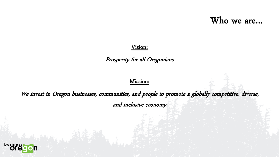Who we are…

#### Vision:

Prosperity for all Oregonians

#### Mission:

We invest in Oregon businesses, communities, and people to promote a globally competitive, diverse, and inclusive economy

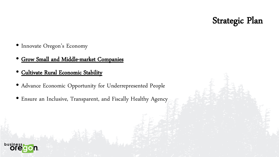## Strategic Plan

- Innovate Oregon's Economy
- Grow Small and Middle-market Companies
- Cultivate Rural Economic Stability
- Advance Economic Opportunity for Underrepresented People
- Ensure an Inclusive, Transparent, and Fiscally Healthy Agency

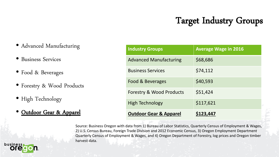# Target Industry Groups

- Advanced Manufacturing
- Business Services
- Food & Beverages
- Forestry & Wood Products
- High Technology
- Outdoor Gear & Apparel

| <b>Industry Groups</b>              | <b>Average Wage in 2016</b> |
|-------------------------------------|-----------------------------|
| <b>Advanced Manufacturing</b>       | \$68,686                    |
| <b>Business Services</b>            | \$74,112                    |
| Food & Beverages                    | \$40,593                    |
| <b>Forestry &amp; Wood Products</b> | \$51,424                    |
| <b>High Technology</b>              | \$117,621                   |
| <b>Outdoor Gear &amp; Apparel</b>   | S123,447                    |

Source: Business Oregon with data from 1) Bureau of Labor Statistics, Quarterly Census of Employment & Wages, 2) U.S. Census Bureau, Foreign Trade Division and 2012 Economic Census, 3) Oregon Employment Department Quarterly Census of Employment & Wages, and 4) Oregon Department of Forestry, log prices and Oregon timber harvest data.

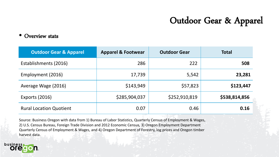# Outdoor Gear & Apparel

#### Overview stats

| <b>Outdoor Gear &amp; Apparel</b> | <b>Apparel &amp; Footwear</b> | <b>Outdoor Gear</b> | <b>Total</b>  |
|-----------------------------------|-------------------------------|---------------------|---------------|
| Establishments (2016)             | 286                           | 222                 | 508           |
| Employment (2016)                 | 17,739                        | 5,542               | 23,281        |
| Average Wage (2016)               | \$143,949                     | \$57,823            | \$123,447     |
| <b>Exports (2016)</b>             | \$285,904,037                 | \$252,910,819       | \$538,814,856 |
| <b>Rural Location Quotient</b>    | 0.07                          | 0.46                | 0.16          |

Source: Business Oregon with data from 1) Bureau of Labor Statistics, Quarterly Census of Employment & Wages, 2) U.S. Census Bureau, Foreign Trade Division and 2012 Economic Census, 3) Oregon Employment Department Quarterly Census of Employment & Wages, and 4) Oregon Department of Forestry, log prices and Oregon timber harvest data.

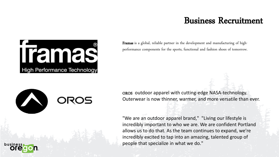### Business Recruitment



Framas is a global, reliable partner in the development and manufacturing of highperformance components for the sports, functional and fashion shoes of tomorrow.



OROS outdoor apparel with cutting-edge NASA-technology. Outerwear is now thinner, warmer, and more versatile than ever.

"We are an outdoor apparel brand," "Living our lifestyle is incredibly important to who we are. We are confident Portland allows us to do that. As the team continues to expand, we're incredibly excited to tap into an amazing, talented group of people that specialize in what we do."

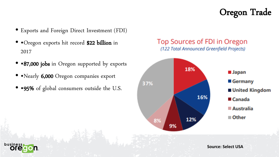## Oregon Trade

- Exports and Foreign Direct Investment (FDI)
- • Oregon exports hit record \$22 billion in 2017
- •87,000 jobs in Oregon supported by exports
- • Nearly 6,000 Oregon companies export
- •95% of global consumers outside the U.S.







**Source: Select USA**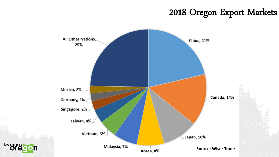### 2018 Oregon Export Markets

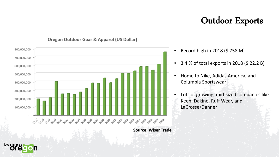# Outdoor Exports



#### Oregon Outdoor Gear & Apparel (US Dollar)

**Source: Wiser Trade**

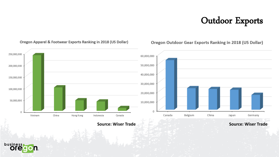# Outdoor Exports



#### Oregon Apparel & Footwear Exports Ranking in 2018 (US Dollar)

Oregon Outdoor Gear Exports Ranking in 2018 (US Dollar)

**Source: Wiser Trade Source: Wiser Trade**

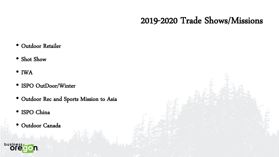## 2019-2020 Trade Shows/Missions

- Outdoor Retailer
- Shot Show
- IWA
- ISPO OutDoor/Winter
- Outdoor Rec and Sports Mission to Asia
- ISPO China
- Outdoor Canada

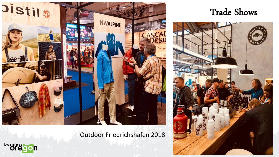

Outdoor Friedrichshafen 2018





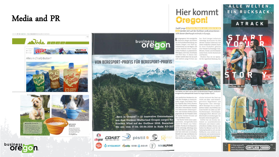### Media and PR



#### Alles in (Trail)-Butter?







## **business** on

#### VON BERGSPORT-PROFIS FÜR BERGSPORT-PROFIS

"Born in Oregon" - 12 innovative Unternehmen

aus dem Outdoor-Mutterland Oregon sorgen für

frischen Wind auf der OutDoor 2018. Besuchen

Sie uns vom 17.06.-20.06.2018 in Halle A3-313

Clogear COAST 2 pistil 9 Silliant

 $\binom{1}{2}$  HYDAWAY PARZO GOBI $\triangle$  GEAR  $(F)$  NWALPINE

Hier kommt **Oregon!** 

**Zwölf junge OUTDOOR-FIRMEN AUS OREGON IN DEN** werden sich auf der OutDoor 2018 präsentierenacht davon überhaupt erstmals in Europa.

myengangenen lahr emtiglichte her. Patil designt ästhetisch es Business Oregon als finheit lebendige Accessoires für den für Wirtschaftsentwicklung des aktiven Outdoor-Lebensstil mit Staates Oregon, vier Start-up- einem modischen urbanen Touch Unternehmen aus der Region, sich Zu ihren Produkten gehören auf der OutDoor einem europä- eine Vielzahl hochwertiger Hine, ischen Publikum zu präsentieren. Mützen, Visiere und Stimbänder NW Alpine, Gobi Gear, DrinkTanks awwie Schals, Gürtel, Handschuhe und Chili Gear. In diesem Jahr und Taschen. werden sowohl diese vier als auch. Showers Pass ist ein Speziaacht weitere junge Firmen aus list für regenfeste Kleidung. Das



Trail Butter, ein Start-up aus dem US-Bundesstaat Oregon, produziert energiereiche, platzsparende Snacks für lange Outdoor-Touren.

USA thre Produkte in Friedrichshafen zeigen: Trail Butter, Fixn-Zip. Flipside Hatt, Fistil, Showers Regenjacken über atmungs-Pass, Coast, Sliftest und Hydaway. aktive Baselayer bis zu wasser-Alle diese Unternehmen wurden dichten Socken Das Portfolio von von bekennenden Extremaport- Coast besteht vor allem aus LEDlem und Outdoor-Enthusiasten Taschenlampen, Stirnlampen, gegründet, die ihre Produkte selbst Campingleuchten, Messern und im harten Outdoor-Einsatz auf Multifunktionswerkzeugen für Herz und Nieren testen.

Trail Butter bietet einen platz- SiliPant hat ein breites Sorsparenden, energieliefernden timent an unzerbrechlichen Snack für Reisen aus Paleo- Schüsseln und Gläsern unter-Zutaten. ForsZip ist ein Reparatur- schiedlicher Größer, Pormen und Kit für unterwegs, allesdings eines, Farben für Mensch und Tier. Bei das ohne Nähen auskommt. Flip- Hydaway handelt es sich um eine side Hats stellt viele verschiedene Faltflasche, eine einfach zu ver-Modelle von Caps und Beartes für verndende und wiederverwendden modernen, urban Outdoor- bare Trinkflasche für unterwegs. Style bis his zu klassischen Berets Lausa finnen

dem pazifischen Nordwesten der - schicke Sortiment des Start-ups reicht von Bike- und Outdoorgerechten kegenhosen und fast jeden Anwerdungsbereich.

urip für eine neue Art zu reise

OutDoor B1-203



rcksack mit einz

ALLE WELTEN.

EIN RUCKSACK.

ATRACK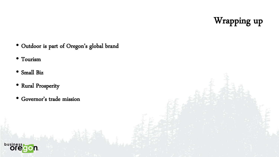Wrapping up

- Outdoor is part of Oregon's global brand
- Tourism
- Small Biz
- Rural Prosperity
- Governor's trade mission